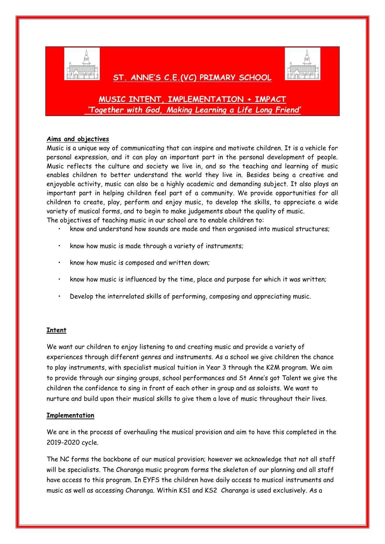

## **ST. ANNE'S C.E.(VC) PRIMARY SCHOOL**



# **MUSIC INTENT, IMPLEMENTATION + IMPACT** *'Together with God, Making Learning a Life Long Friend'*

### **Aims and objectives**

Music is a unique way of communicating that can inspire and motivate children. It is a vehicle for personal expression, and it can play an important part in the personal development of people. Music reflects the culture and society we live in, and so the teaching and learning of music enables children to better understand the world they live in. Besides being a creative and enjoyable activity, music can also be a highly academic and demanding subject. It also plays an important part in helping children feel part of a community. We provide opportunities for all children to create, play, perform and enjoy music, to develop the skills, to appreciate a wide variety of musical forms, and to begin to make judgements about the quality of music.

The objectives of teaching music in our school are to enable children to:

- know and understand how sounds are made and then organised into musical structures;
- know how music is made through a variety of instruments;
- know how music is composed and written down;
- know how music is influenced by the time, place and purpose for which it was written;
- Develop the interrelated skills of performing, composing and appreciating music.

## **Intent**

We want our children to enjoy listening to and creating music and provide a variety of experiences through different genres and instruments. As a school we give children the chance to play instruments, with specialist musical tuition in Year 3 through the K2M program. We aim to provide through our singing groups, school performances and St Anne's got Talent we give the children the confidence to sing in front of each other in group and as soloists. We want to nurture and build upon their musical skills to give them a love of music throughout their lives.

#### **Implementation**

We are in the process of overhauling the musical provision and aim to have this completed in the 2019-2020 cycle.

The NC forms the backbone of our musical provision; however we acknowledge that not all staff will be specialists. The Charanga music program forms the skeleton of our planning and all staff have access to this program. In EYFS the children have daily access to musical instruments and music as well as accessing Charanga. Within KS1 and KS2 Charanga is used exclusively. As a